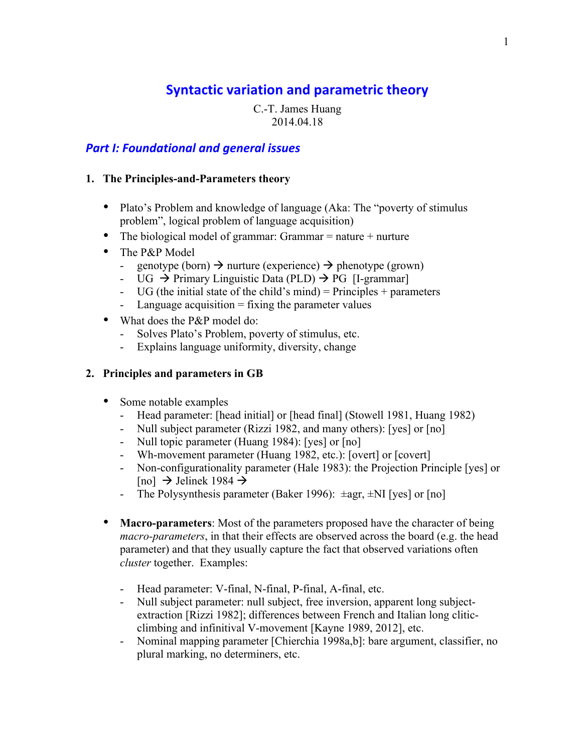# **Syntactic variation and parametric theory**

C.-T. James Huang 2014.04.18

# **Part I: Foundational and general issues**

### **1. The Principles-and-Parameters theory**

- Plato's Problem and knowledge of language (Aka: The "poverty of stimulus") problem", logical problem of language acquisition)
- The biological model of grammar: Grammar  $=$  nature  $+$  nurture
- The P&P Model
	- genotype (born)  $\rightarrow$  nurture (experience)  $\rightarrow$  phenotype (grown)
	- UG  $\rightarrow$  Primary Linguistic Data (PLD)  $\rightarrow$  PG [I-grammar]
	- UG (the initial state of the child's mind) = Principles + parameters
	- Language acquisition  $=$  fixing the parameter values
- What does the P&P model do:
	- Solves Plato's Problem, poverty of stimulus, etc.
	- Explains language uniformity, diversity, change

# **2. Principles and parameters in GB**

- Some notable examples
	- Head parameter: [head initial] or [head final] (Stowell 1981, Huang 1982)
	- Null subject parameter (Rizzi 1982, and many others): [yes] or [no]
	- Null topic parameter (Huang 1984): [yes] or [no]
	- Wh-movement parameter (Huang 1982, etc.): [overt] or [covert]
	- Non-configurationality parameter (Hale 1983): the Projection Principle [yes] or [no]  $\rightarrow$  Jelinek 1984  $\rightarrow$
	- The Polysynthesis parameter (Baker 1996):  $\pm$ agr,  $\pm$ NI [yes] or [no]
- **Macro-parameters**: Most of the parameters proposed have the character of being *macro-parameters*, in that their effects are observed across the board (e.g. the head parameter) and that they usually capture the fact that observed variations often *cluster* together. Examples:
	- Head parameter: V-final, N-final, P-final, A-final, etc.
	- Null subject parameter: null subject, free inversion, apparent long subjectextraction [Rizzi 1982]; differences between French and Italian long cliticclimbing and infinitival V-movement [Kayne 1989, 2012], etc.
	- Nominal mapping parameter [Chierchia 1998a,b]: bare argument, classifier, no plural marking, no determiners, etc.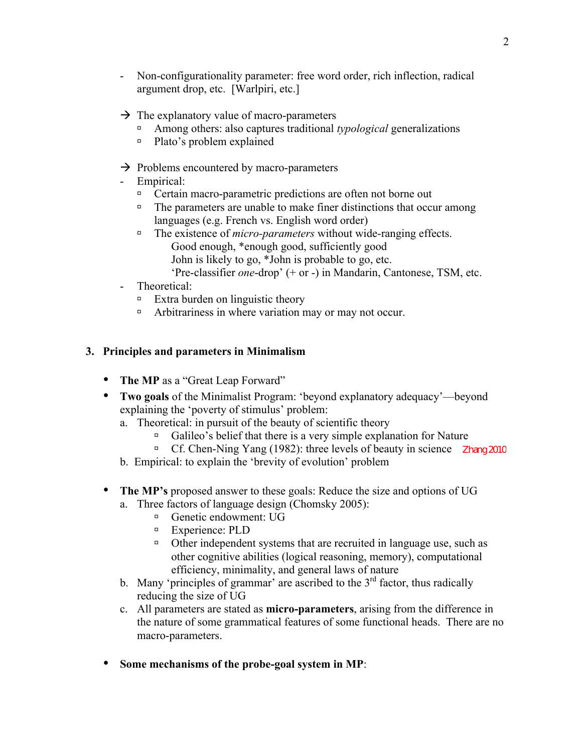- Non-configurationality parameter: free word order, rich inflection, radical argument drop, etc. [Warlpiri, etc.]
- $\rightarrow$  The explanatory value of macro-parameters
	- ú Among others: also captures traditional *typological* generalizations
	- ú Plato's problem explained
- $\rightarrow$  Problems encountered by macro-parameters
- Empirical:
	- □ Certain macro-parametric predictions are often not borne out
	- $\Box$  The parameters are unable to make finer distinctions that occur among languages (e.g. French vs. English word order)
	- □ The existence of *micro-parameters* without wide-ranging effects. Good enough, \*enough good, sufficiently good John is likely to go, \*John is probable to go, etc.
		- 'Pre-classifier *one*-drop' (+ or -) in Mandarin, Cantonese, TSM, etc.
- Theoretical:
	- $\Box$  Extra burden on linguistic theory
	- <sup>n</sup> Arbitrariness in where variation may or may not occur.

# **3. Principles and parameters in Minimalism**

- The MP as a "Great Leap Forward"
- **Two goals** of the Minimalist Program: 'beyond explanatory adequacy'—beyond explaining the 'poverty of stimulus' problem:
	- a. Theoretical: in pursuit of the beauty of scientific theory
		- $\Box$  Galileo's belief that there is a very simple explanation for Nature
		- <sup>n</sup> Cf. Chen-Ning Yang (1982): three levels of beauty in science Zhang 2010
	- b. Empirical: to explain the 'brevity of evolution' problem
- **The MP's** proposed answer to these goals: Reduce the size and options of UG a. Three factors of language design (Chomsky 2005):
	- $\Box$  Genetic endowment: UG
	- <sup>□</sup> Experience: PLD
	- ú Other independent systems that are recruited in language use, such as other cognitive abilities (logical reasoning, memory), computational efficiency, minimality, and general laws of nature
	- b. Many 'principles of grammar' are ascribed to the  $3<sup>rd</sup>$  factor, thus radically reducing the size of UG
	- c. All parameters are stated as **micro-parameters**, arising from the difference in the nature of some grammatical features of some functional heads. There are no macro-parameters.
- **Some mechanisms of the probe-goal system in MP**: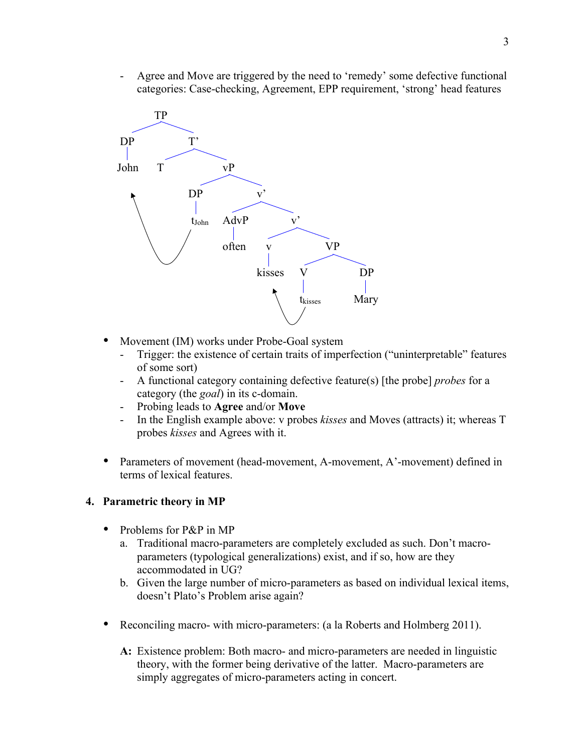- Agree and Move are triggered by the need to 'remedy' some defective functional categories: Case-checking, Agreement, EPP requirement, 'strong' head features



- Movement (IM) works under Probe-Goal system
	- Trigger: the existence of certain traits of imperfection ("uninterpretable" features of some sort)
	- A functional category containing defective feature(s) [the probe] *probes* for a category (the *goal*) in its c-domain.
	- Probing leads to **Agree** and/or **Move**
	- In the English example above: v probes *kisses* and Moves (attracts) it; whereas T probes *kisses* and Agrees with it.
- Parameters of movement (head-movement, A-movement, A'-movement) defined in terms of lexical features.

### **4. Parametric theory in MP**

- Problems for P&P in MP
	- a. Traditional macro-parameters are completely excluded as such. Don't macroparameters (typological generalizations) exist, and if so, how are they accommodated in UG?
	- b. Given the large number of micro-parameters as based on individual lexical items, doesn't Plato's Problem arise again?
- Reconciling macro- with micro-parameters: (a la Roberts and Holmberg 2011).
	- **A:** Existence problem: Both macro- and micro-parameters are needed in linguistic theory, with the former being derivative of the latter. Macro-parameters are simply aggregates of micro-parameters acting in concert.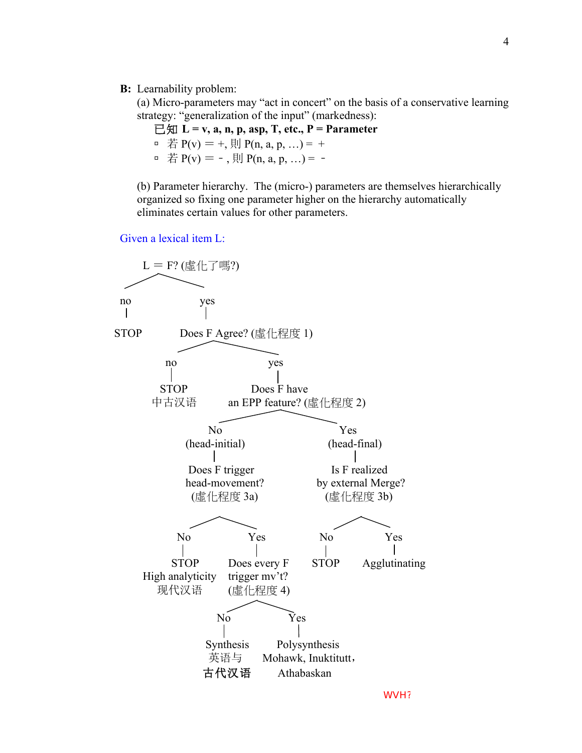#### **B:** Learnability problem:

(a) Micro-parameters may "act in concert" on the basis of a conservative learning strategy: "generalization of the input" (markedness):

已知 **L = v, a, n, p, asp, T, etc., P = Parameter**

□ 若 P(v) = +, 則 P(n, a, p, ...) = +

□ 若 P(v) = -, 則 P(n, a, p, ...) = -

(b) Parameter hierarchy.The (micro-) parameters are themselves hierarchically organized so fixing one parameter higher on the hierarchy automatically eliminates certain values for other parameters.

Given a lexical item L:

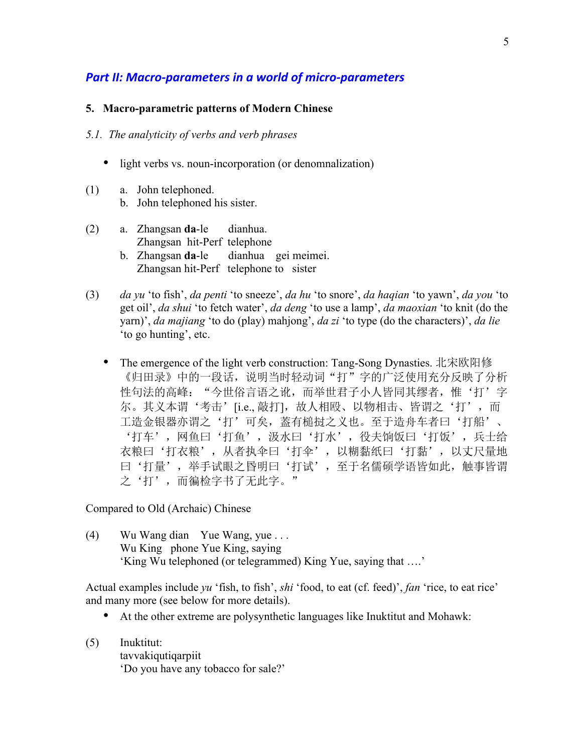# **Part II: Macro-parameters in a world of micro-parameters**

#### **5. Macro-parametric patterns of Modern Chinese**

#### *5.1. The analyticity of verbs and verb phrases*

- light verbs vs. noun-incorporation (or denomnalization)
- (1) a. John telephoned. b. John telephoned his sister.
- (2) a. Zhangsan **da**-le dianhua. Zhangsan hit-Perf telephone b. Zhangsan **da**-le dianhua gei meimei. Zhangsan hit-Perf telephone to sister
- (3) *da yu* 'to fish', *da penti* 'to sneeze', *da hu* 'to snore', *da haqian* 'to yawn', *da you* 'to get oil', *da shui* 'to fetch water', *da deng* 'to use a lamp', *da maoxian* 'to knit (do the yarn)', *da majiang* 'to do (play) mahjong', *da zi* 'to type (do the characters)', *da lie* 'to go hunting', etc.
	- The emergence of the light verb construction: Tang-Song Dynasties. 北宋欧阳修 《归田录》中的一段话,说明当时轻动词"打"字的广泛使用充分反映了分析 性句法的高峰: "今世俗言语之讹,而举世君子小人皆同其缪者,惟'打'字 尔。其义本谓'考击'[i.e., 敲打],故人相殴、以物相击、皆谓之'打', 而 工造金银器亦谓之'打'可矣,葢有槌挝之义也。至于造舟车者曰'打船'、 '打车',网鱼曰'打鱼',汲水曰'打水',役夫饷饭曰'打饭',兵士给 衣粮曰'打衣粮',从者执伞曰'打伞',以糊黏纸曰'打黏',以丈尺量地 曰'打量',举手试眼之昬明曰'打试',至于名儒硕学语皆如此,触事皆谓 之'打',而徧检字书了无此字。"

Compared to Old (Archaic) Chinese

(4) Wu Wang dian Yue Wang, yue . . . Wu King phone Yue King, saying 'King Wu telephoned (or telegrammed) King Yue, saying that ….'

Actual examples include *yu* 'fish, to fish', *shi* 'food, to eat (cf. feed)', *fan* 'rice, to eat rice' and many more (see below for more details).

- At the other extreme are polysynthetic languages like Inuktitut and Mohawk:
- (5) Inuktitut: tavvakiqutiqarpiit 'Do you have any tobacco for sale?'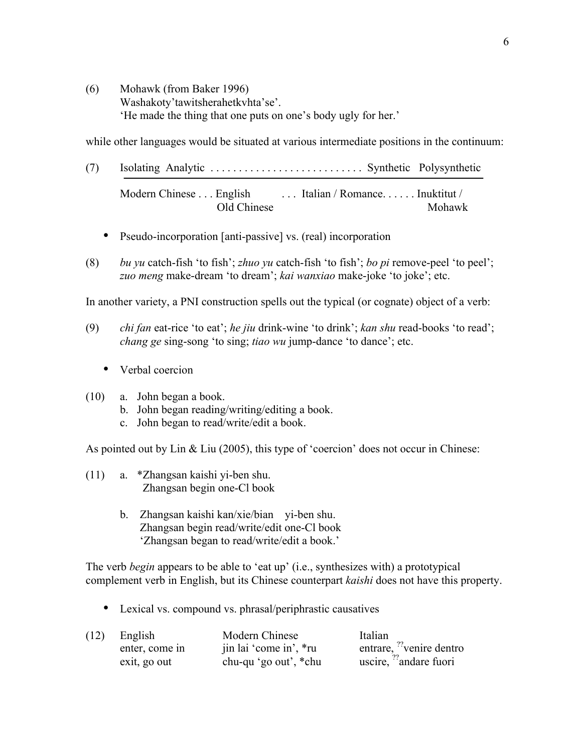(6) Mohawk (from Baker 1996) Washakoty'tawitsherahetkvhta'se'. 'He made the thing that one puts on one's body ugly for her.'

while other languages would be situated at various intermediate positions in the continuum:

- (7) Isolating Analytic . . . . . . . . . . . . . . . . . . . . . . . . . . . Synthetic Polysynthetic Modern Chinese . . . English . . . . . Italian / Romance. . . . . . . Inuktitut / Old Chinese Mohawk
	- Pseudo-incorporation [anti-passive] vs. (real) incorporation
- (8) *bu yu* catch-fish 'to fish'; *zhuo yu* catch-fish 'to fish'; *bo pi* remove-peel 'to peel'; *zuo meng* make-dream 'to dream'; *kai wanxiao* make-joke 'to joke'; etc.

In another variety, a PNI construction spells out the typical (or cognate) object of a verb:

- (9) *chi fan* eat-rice 'to eat'; *he jiu* drink-wine 'to drink'; *kan shu* read-books 'to read'; *chang ge* sing-song 'to sing; *tiao wu* jump-dance 'to dance'; etc.
	- Verbal coercion
- (10) a. John began a book.
	- b. John began reading/writing/editing a book.
	- c. John began to read/write/edit a book.

As pointed out by Lin & Liu (2005), this type of 'coercion' does not occur in Chinese:

- (11) a. \*Zhangsan kaishi yi-ben shu. Zhangsan begin one-Cl book
	- b. Zhangsan kaishi kan/xie/bian yi-ben shu. Zhangsan begin read/write/edit one-Cl book 'Zhangsan began to read/write/edit a book.'

The verb *begin* appears to be able to 'eat up' (i.e., synthesizes with) a prototypical complement verb in English, but its Chinese counterpart *kaishi* does not have this property.

Lexical vs. compound vs. phrasal/periphrastic causatives

| (12) | English        | Modern Chinese         | Italian                              |
|------|----------------|------------------------|--------------------------------------|
|      | enter, come in | jin lai 'come in', *ru | entrare, <sup>??</sup> venire dentro |
|      | exit, go out   | chu-qu 'go out', *chu  | uscire, $^{77}$ andare fuori         |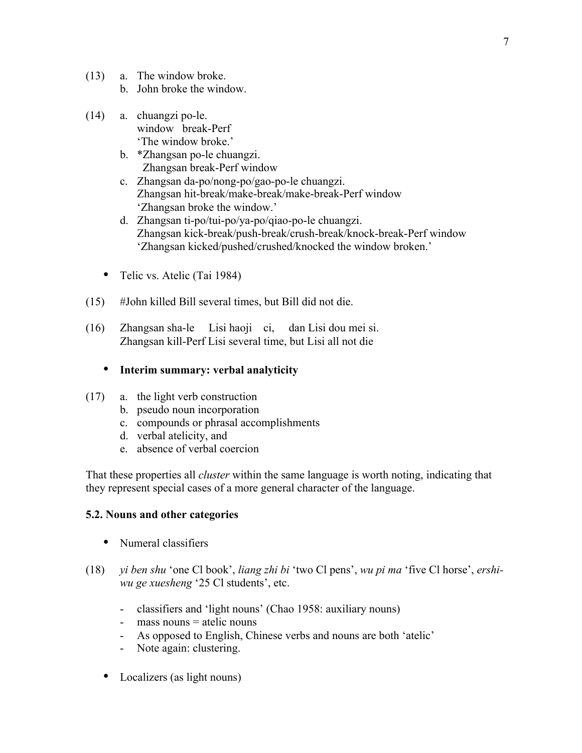- (13) a. The window broke.
	- b. John broke the window.
- (14) a. chuangzi po-le. window break-Perf 'The window broke.'
	- b. \*Zhangsan po-le chuangzi. Zhangsan break-Perf window
	- c. Zhangsan da-po/nong-po/gao-po-le chuangzi. Zhangsan hit-break/make-break/make-break-Perf window 'Zhangsan broke the window.'
	- d. Zhangsan ti-po/tui-po/ya-po/qiao-po-le chuangzi. Zhangsan kick-break/push-break/crush-break/knock-break-Perf window 'Zhangsan kicked/pushed/crushed/knocked the window broken.'
	- Telic vs. Atelic (Tai 1984)
- (15) #John killed Bill several times, but Bill did not die.
- (16) Zhangsan sha-le Lisi haoji ci, dan Lisi dou mei si. Zhangsan kill-Perf Lisi several time, but Lisi all not die

# **Interim summary: verbal analyticity**

- (17) a. the light verb construction
	- b. pseudo noun incorporation
	- c. compounds or phrasal accomplishments
	- d. verbal atelicity, and
	- e. absence of verbal coercion

That these properties all *cluster* within the same language is worth noting, indicating that they represent special cases of a more general character of the language.

# **5.2. Nouns and other categories**

- Numeral classifiers
- (18) *yi ben shu* 'one Cl book', *liang zhi bi* 'two Cl pens', *wu pi ma* 'five Cl horse', *ershiwu ge xuesheng* '25 Cl students', etc.
	- classifiers and 'light nouns' (Chao 1958: auxiliary nouns)
	- mass nouns = atelic nouns
	- As opposed to English, Chinese verbs and nouns are both 'atelic'
	- Note again: clustering.
	- Localizers (as light nouns)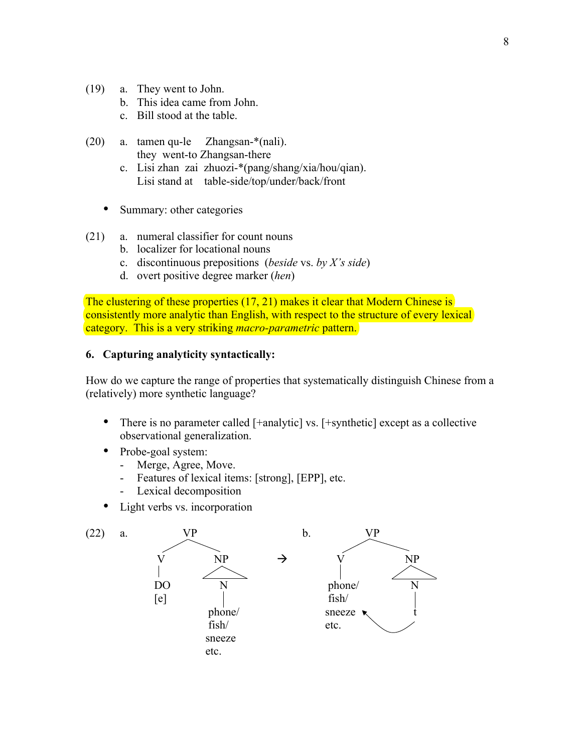- (19) a. They went to John.
	- b. This idea came from John.
	- c. Bill stood at the table.
- (20) a. tamen qu-le Zhangsan-\*(nali). they went-to Zhangsan-there
	- c. Lisi zhan zai zhuozi-\*(pang/shang/xia/hou/qian). Lisi stand at table-side/top/under/back/front
	- Summary: other categories
- (21) a. numeral classifier for count nouns
	- b. localizer for locational nouns
	- c. discontinuous prepositions (*beside* vs. *by X's side*)
	- d. overt positive degree marker (*hen*)

The clustering of these properties (17, 21) makes it clear that Modern Chinese is consistently more analytic than English, with respect to the structure of every lexical category. This is a very striking *macro-parametric* pattern.

#### **6. Capturing analyticity syntactically:**

How do we capture the range of properties that systematically distinguish Chinese from a (relatively) more synthetic language?

- There is no parameter called [+analytic] vs. [+synthetic] except as a collective observational generalization.
- Probe-goal system:
	- Merge, Agree, Move.
	- Features of lexical items: [strong], [EPP], etc.
	- Lexical decomposition
- Light verbs vs. incorporation

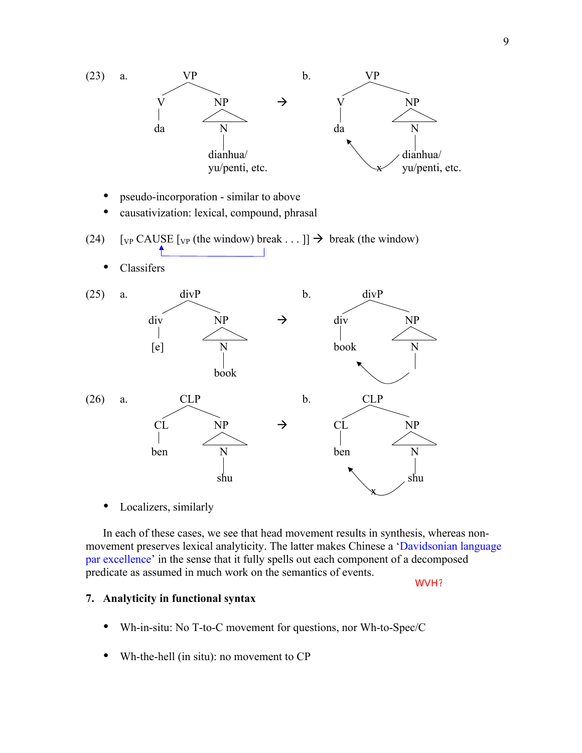

Localizers, similarly

In each of these cases, we see that head movement results in synthesis, whereas nonmovement preserves lexical analyticity. The latter makes Chinese a 'Davidsonian language par excellence' in the sense that it fully spells out each component of a decomposed predicate as assumed in much work on the semantics of events.

WVH?

### **7. Analyticity in functional syntax**

- Wh-in-situ: No T-to-C movement for questions, nor Wh-to-Spec/C
- Wh-the-hell (in situ): no movement to CP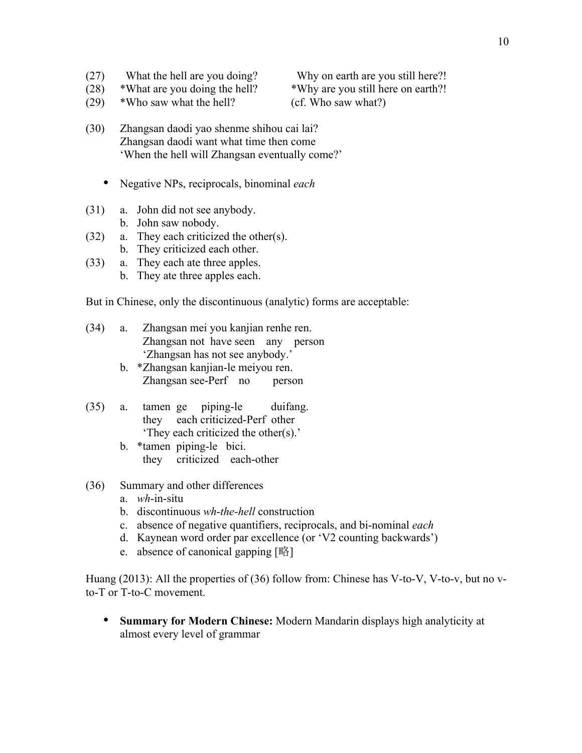- (27) What the hell are you doing? Why on earth are you still here?!
- (28) \*What are you doing the hell? \*Why are you still here on earth?!

(29) \*Who saw what the hell? (cf. Who saw what?)

- (30) Zhangsan daodi yao shenme shihou cai lai? Zhangsan daodi want what time then come 'When the hell will Zhangsan eventually come?'
	- Negative NPs, reciprocals, binominal *each*
- (31) a. John did not see anybody.
	- b. John saw nobody.
- (32) a. They each criticized the other(s).
	- b. They criticized each other.
- (33) a. They each ate three apples.
	- b. They ate three apples each.

But in Chinese, only the discontinuous (analytic) forms are acceptable:

- (34) a. Zhangsan mei you kanjian renhe ren. Zhangsan not have seen any person 'Zhangsan has not see anybody.'
	- b. \*Zhangsan kanjian-le meiyou ren. Zhangsan see-Perf no person
- (35) a. tamen ge piping-le duifang. they each criticized-Perf other 'They each criticized the other(s).'
	- b. \*tamen piping-le bici. they criticized each-other
- (36) Summary and other differences
	- a. *wh*-in-situ
	- b. discontinuous *wh*-*the-hell* construction
	- c. absence of negative quantifiers, reciprocals, and bi-nominal *each*
	- d. Kaynean word order par excellence (or 'V2 counting backwards')
	- e. absence of canonical gapping [略]

Huang (2013): All the properties of (36) follow from: Chinese has V-to-V, V-to-v, but no vto-T or T-to-C movement.

 **Summary for Modern Chinese:** Modern Mandarin displays high analyticity at almost every level of grammar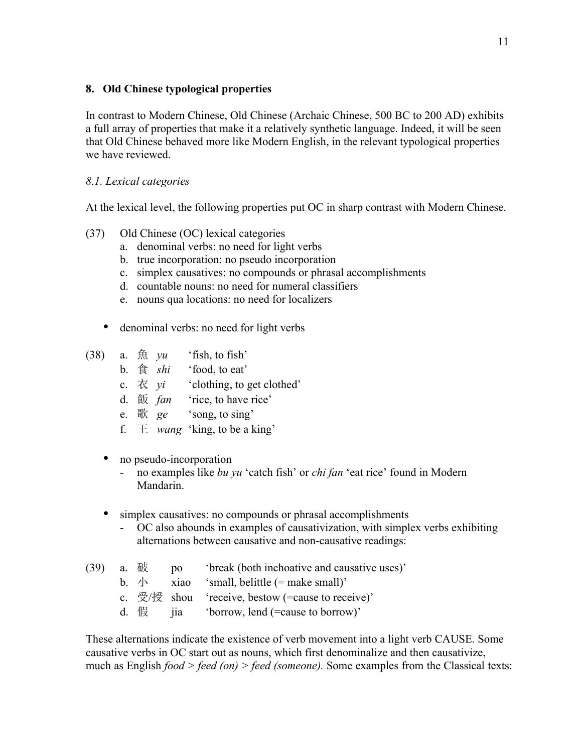### **8. Old Chinese typological properties**

In contrast to Modern Chinese, Old Chinese (Archaic Chinese, 500 BC to 200 AD) exhibits a full array of properties that make it a relatively synthetic language. Indeed, it will be seen that Old Chinese behaved more like Modern English, in the relevant typological properties we have reviewed.

### *8.1. Lexical categories*

At the lexical level, the following properties put OC in sharp contrast with Modern Chinese.

- (37) Old Chinese (OC) lexical categories
	- a. denominal verbs: no need for light verbs
	- b. true incorporation: no pseudo incorporation
	- c. simplex causatives: no compounds or phrasal accomplishments
	- d. countable nouns: no need for numeral classifiers
	- e. nouns qua locations: no need for localizers
	- denominal verbs: no need for light verbs
- (38) a.  $\hat{\mathbb{R}}$  *yu* 'fish, to fish'
	- b. 食 *shi* 'food, to eat'
	- c.  $\vec{\alpha}$  *yi* 'clothing, to get clothed'
	- d. 飯 *fan* 'rice, to have rice'
	- e. 歌 *ge* 'song, to sing'
	- f.  $\pm$  *wang* 'king, to be a king'
	- no pseudo-incorporation
		- no examples like *bu yu* 'catch fish' or *chi fan* 'eat rice' found in Modern Mandarin.
	- simplex causatives: no compounds or phrasal accomplishments
		- OC also abounds in examples of causativization, with simplex verbs exhibiting alternations between causative and non-causative readings:
- (39) a. 破 po 'break (both inchoative and causative uses)' b.  $\sqrt{ }$  xiao 'small, belittle (= make small)' c. 受/授 shou 'receive, bestow (=cause to receive)'
	- d. 假 jia 'borrow, lend (=cause to borrow)'

These alternations indicate the existence of verb movement into a light verb CAUSE. Some causative verbs in OC start out as nouns, which first denominalize and then causativize, much as English *food > feed (on) > feed (someone).* Some examples from the Classical texts: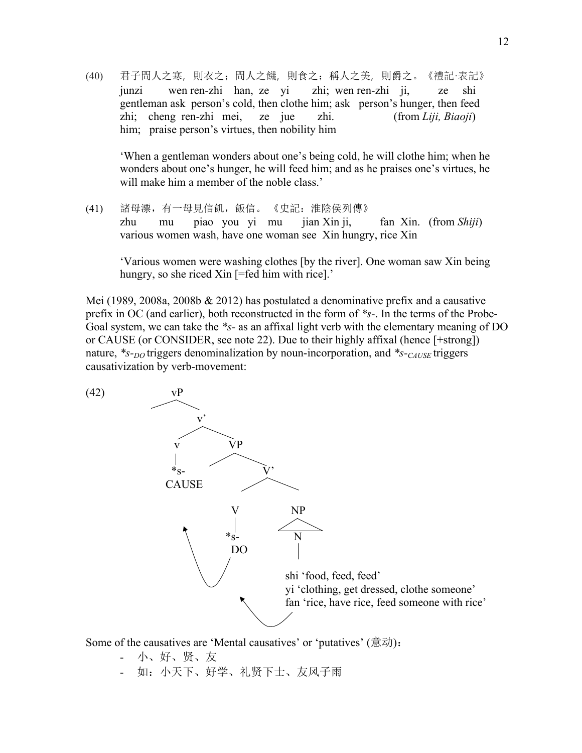(40) 君子問人之寒,則衣之;問人之饑,則食之;稱人之美,則爵之。《禮記·表記》 junzi wen ren-zhi han, ze yi zhi; wen ren-zhi ji, ze shi gentleman ask person's cold, then clothe him; ask person's hunger, then feed zhi; cheng ren-zhi mei, ze jue zhi. (from *Liji, Biaoji*) him; praise person's virtues, then nobility him

'When a gentleman wonders about one's being cold, he will clothe him; when he wonders about one's hunger, he will feed him; and as he praises one's virtues, he will make him a member of the noble class.'

(41) 諸母漂,有一母見信飢,飯信。 《史記:淮陰侯列傳》 zhu mu piao you yi mu jian Xin ji, fan Xin. (from *Shiji*) various women wash, have one woman see Xin hungry, rice Xin

'Various women were washing clothes [by the river]. One woman saw Xin being hungry, so she riced Xin [=fed him with rice].'

Mei (1989, 2008a, 2008b  $& 2012$ ) has postulated a denominative prefix and a causative prefix in OC (and earlier), both reconstructed in the form of *\*s-*. In the terms of the Probe-Goal system, we can take the *\*s-* as an affixal light verb with the elementary meaning of DO or CAUSE (or CONSIDER, see note 22). Due to their highly affixal (hence [+strong]) nature, *\*s-<sub>DO</sub>* triggers denominalization by noun-incorporation, and *\*s-CAUSE* triggers causativization by verb-movement:

(42) vP  $\mathbf{v}^2$  $\overline{\phantom{a}}$ v VP  $*_s$ - CAUSE V NP  $*_s$ - N DO shi 'food, feed, feed' yi 'clothing, get dressed, clothe someone' fan 'rice, have rice, feed someone with rice'

Some of the causatives are 'Mental causatives' or 'putatives' (意动):

- 小、好、贤、友
- 如:小天下、好学、礼贤下士、友风子雨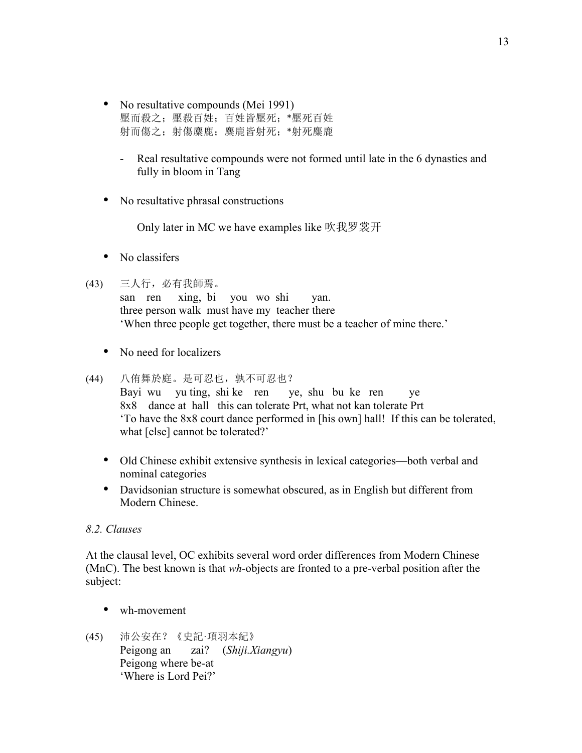- No resultative compounds (Mei 1991) 壓而殺之;壓殺百姓;百姓皆壓死;\*壓死百姓 射而傷之;射傷麋鹿;麋鹿皆射死;\*射死麋鹿
	- Real resultative compounds were not formed until late in the 6 dynasties and fully in bloom in Tang
- No resultative phrasal constructions

Only later in MC we have examples like 吹我罗裳开

• No classifers

### (43) 三人行,必有我師焉。

san ren xing, bi you wo shi yan. three person walk must have my teacher there 'When three people get together, there must be a teacher of mine there.'

• No need for localizers

### (44) 八侑舞於庭。是可忍也,孰不可忍也? Bayi wu yu ting, shi ke ren ye, shu bu ke ren ye 8x8 dance at hall this can tolerate Prt, what not kan tolerate Prt 'To have the 8x8 court dance performed in [his own] hall! If this can be tolerated, what [else] cannot be tolerated?'

- Old Chinese exhibit extensive synthesis in lexical categories—both verbal and nominal categories
- Davidsonian structure is somewhat obscured, as in English but different from Modern Chinese.

### *8.2. Clauses*

At the clausal level, OC exhibits several word order differences from Modern Chinese (MnC). The best known is that *wh-*objects are fronted to a pre-verbal position after the subject:

- wh-movement
- (45) 沛公安在?《史記·項羽本紀》 Peigong an zai? (*Shiji.Xiangyu*) Peigong where be-at 'Where is Lord Pei?'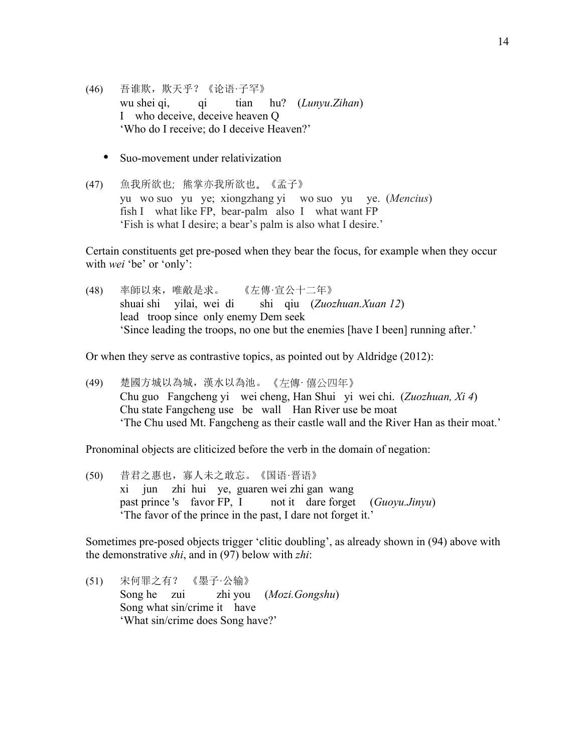- (46) 吾谁欺,欺天乎?《论语·子罕》 wu shei qi, qi tian hu? (*Lunyu*.*Zihan*) I who deceive, deceive heaven Q 'Who do I receive; do I deceive Heaven?'
	- Suo-movement under relativization
- (47) 魚我所欲也;熊掌亦我所欲也。《孟子》 yu wo suo yu ye; xiongzhang yi wo suo yu ye. (*Mencius*) fish I what like FP, bear-palm also I what want FP 'Fish is what I desire; a bear's palm is also what I desire.'

Certain constituents get pre-posed when they bear the focus, for example when they occur with *wei* 'be' or 'only':

(48) 率師以來,唯敵是求。 《左傳·宣公十二年》 shuai shi yilai, wei di shi qiu (*Zuozhuan.Xuan 12*) lead troop since only enemy Dem seek 'Since leading the troops, no one but the enemies [have I been] running after.'

Or when they serve as contrastive topics, as pointed out by Aldridge (2012):

(49) 楚國方城以為城,漢水以為池。 《左傳· 僖公四年》 Chu guo Fangcheng yi wei cheng, Han Shui yi wei chi. (*Zuozhuan, Xi 4*) Chu state Fangcheng use be wall Han River use be moat 'The Chu used Mt. Fangcheng as their castle wall and the River Han as their moat.'

Pronominal objects are cliticized before the verb in the domain of negation:

(50) 昔君之惠也,寡人未之敢忘。《国语·晋语》 xi jun zhi hui ye, guaren wei zhi gan wang past prince 's favor FP, I not it dare forget (*Guoyu.Jinyu*) 'The favor of the prince in the past, I dare not forget it.'

Sometimes pre-posed objects trigger 'clitic doubling', as already shown in (94) above with the demonstrative *shi*, and in (97) below with *zhi*:

(51) 宋何罪之有? 《墨子·公输》 Song he zui zhi you (*Mozi.Gongshu*) Song what sin/crime it have 'What sin/crime does Song have?'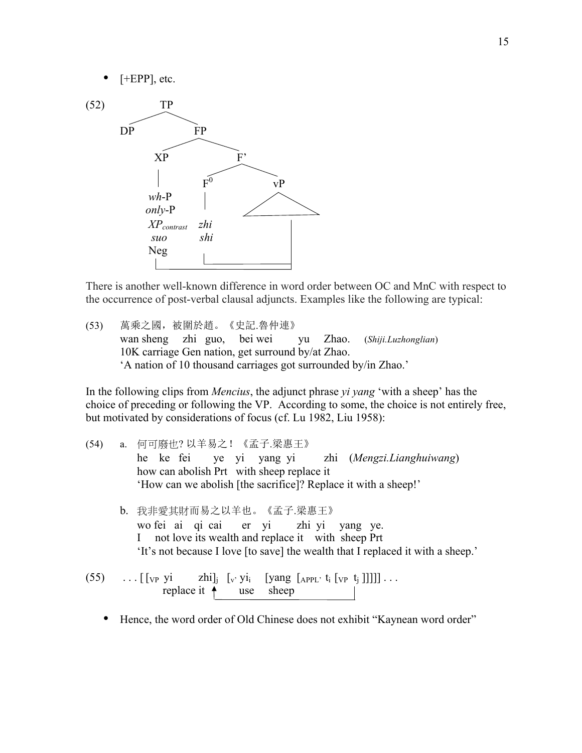



There is another well-known difference in word order between OC and MnC with respect to the occurrence of post-verbal clausal adjuncts. Examples like the following are typical:

(53) 萬乘之國,被圍於趙。《史記.魯仲連》 wan sheng zhi guo, bei wei yu Zhao. (*Shiji.Luzhonglian*) 10K carriage Gen nation, get surround by/at Zhao. 'A nation of 10 thousand carriages got surrounded by/in Zhao.'

In the following clips from *Mencius*, the adjunct phrase *yi yang* 'with a sheep' has the choice of preceding or following the VP. According to some, the choice is not entirely free, but motivated by considerations of focus (cf. Lu 1982, Liu 1958):

- (54) a. 何可廢也? 以羊易之!《孟子.梁惠王》 he ke fei ye yi yang yi zhi (*Mengzi.Lianghuiwang*) how can abolish Prt with sheep replace it 'How can we abolish [the sacrifice]? Replace it with a sheep!' b. 我非愛其財而易之以羊也。《孟子.梁惠王》 wo fei ai qi cai er yi zhi yi yang ye. I not love its wealth and replace it with sheep Prt 'It's not because I love [to save] the wealth that I replaced it with a sheep.' (55)  $\ldots$  [ [vp yi zhi]<sub>j</sub> [v' yi<sub>i</sub> [yang [<sub>APPL'</sub> t<sub>i</sub> [vp t<sub>j</sub>]]]]]... replace it  $\uparrow$  use sheep
	- Hence, the word order of Old Chinese does not exhibit "Kaynean word order"